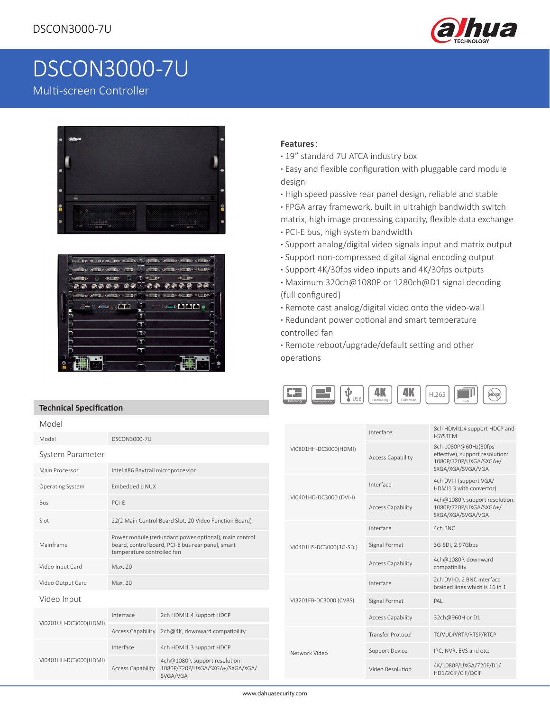

# DSCON3000-7U

## Multi-screen Controller

**Technical Specification**

֠





#### **Features**:

- **·** 19" standard 7U ATCA industry box
- **·** Easy and flexible configuration with pluggable card module design
- **·** High speed passive rear panel design, reliable and stable
- **·** FPGA array framework, built in ultrahigh bandwidth switch
- matrix, high image processing capacity, flexible data exchange
- **·** PCI-E bus, high system bandwidth
- **·** Support analog/digital video signals input and matrix output
- **·** Support non-compressed digital signal encoding output
- **·** Support 4K/30fps video inputs and 4K/30fps outputs
- **·** Maximum 320ch@1080P or 1280ch@D1 signal decoding (full configured)
- **·** Remote cast analog/digital video onto the video-wall
- **·** Redundant power optional and smart temperature controlled fan

**·** Remote reboot/upgrade/default setting and other operations



| Model                              |                                                                                                                                                                                                    |                                                                               |                        |                         |                                             | 8ch HDMI1.4 support HDCP and                                                                           |
|------------------------------------|----------------------------------------------------------------------------------------------------------------------------------------------------------------------------------------------------|-------------------------------------------------------------------------------|------------------------|-------------------------|---------------------------------------------|--------------------------------------------------------------------------------------------------------|
| Model                              | <b>DSCON3000-7U</b>                                                                                                                                                                                |                                                                               |                        |                         | Interface                                   | <b>I-SYSTEM</b>                                                                                        |
| System Parameter<br>Main Processor | Intel X86 Baytrail microprocessor                                                                                                                                                                  |                                                                               |                        | VI0801HH-DC3000(HDMI)   | Access Capability                           | 8ch 1080P@60Hz(30fps<br>effective), support resolution:<br>1080P/720P/UXGA/SXGA+/<br>SXGA/XGA/SVGA/VGA |
| <b>Operating System</b>            | Embedded LINUX                                                                                                                                                                                     |                                                                               |                        | VI0401HD-DC3000 (DVI-I) | Interface                                   | 4ch DVI-I (support VGA/<br>HDMI1.3 with convertor)                                                     |
| Bus                                | PCI-E                                                                                                                                                                                              |                                                                               |                        |                         | <b>Access Capability</b>                    | 4ch@1080P, support resolution:<br>1080P/720P/UXGA/SXGA+/<br>SXGA/XGA/SVGA/VGA                          |
| Slot                               | 22(2 Main Control Board Slot, 20 Video Function Board)<br>Power module (redundant power optional), main control<br>board, control board, PCI-E bus rear panel, smart<br>temperature controlled fan |                                                                               |                        | VI0401HS-DC3000(3G-SDI) | Interface                                   | 4ch BNC                                                                                                |
| Mainframe                          |                                                                                                                                                                                                    |                                                                               |                        |                         | Signal Format                               | 3G-SDI, 2.97Gbps                                                                                       |
| Video Input Card                   | Max. 20                                                                                                                                                                                            |                                                                               |                        |                         | <b>Access Capability</b>                    | 4ch@1080P, downward<br>compatibility                                                                   |
| Video Output Card                  | Max. 20                                                                                                                                                                                            |                                                                               |                        |                         | Interface                                   | 2ch DVI-D, 2 BNC interface<br>braided lines which is 16 in 1                                           |
| Video Input                        |                                                                                                                                                                                                    |                                                                               | VI3201FB-DC3000 (CVBS) | Signal Format           | PAL                                         |                                                                                                        |
| VI0201UH-DC3000(HDMI)              | Interface                                                                                                                                                                                          | 2ch HDMI1.4 support HDCP                                                      |                        |                         | <b>Access Capability</b>                    | 32ch@960H or D1                                                                                        |
|                                    | <b>Access Capability</b>                                                                                                                                                                           | 2ch@4K, downward compatibility                                                |                        |                         | <b>Transfer Protocol</b>                    | TCP/UDP/RTP/RTSP/RTCP                                                                                  |
| VI0401HH-DC3000(HDMI)              | Interface                                                                                                                                                                                          | 4ch HDMI1.3 support HDCP                                                      | Network Video          | <b>Support Device</b>   | IPC, NVR, EVS and etc.                      |                                                                                                        |
|                                    | <b>Access Capability</b>                                                                                                                                                                           | 4ch@1080P, support resolution:<br>1080P/720P/UXGA/SXGA+/SXGA/XGA/<br>SVGA/VGA |                        | Video Resolution        | 4K/1080P/UXGA/720P/D1/<br>HD1/2CIF/CIF/QCIF |                                                                                                        |